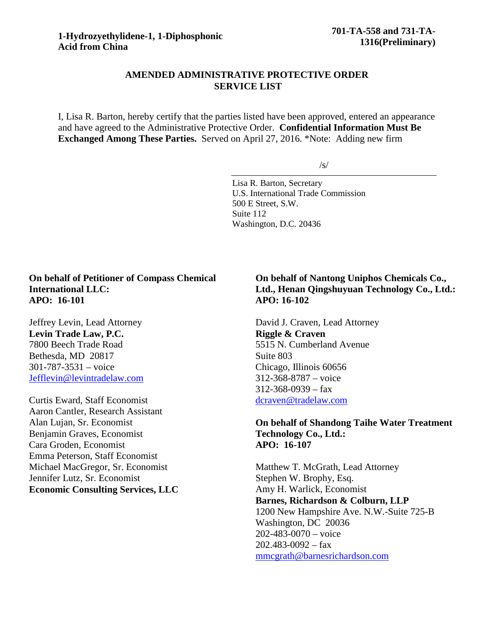## **AMENDED ADMINISTRATIVE PROTECTIVE ORDER SERVICE LIST**

I, Lisa R. Barton, hereby certify that the parties listed have been approved, entered an appearance and have agreed to the Administrative Protective Order. **Confidential Information Must Be Exchanged Among These Parties.** Served on April 27, 2016. \*Note: Adding new firm

/s/

Lisa R. Barton, Secretary U.S. International Trade Commission 500 E Street, S.W. Suite 112 Washington, D.C. 20436

## **On behalf of Petitioner of Compass Chemical International LLC: APO: 16-101**

Jeffrey Levin, Lead Attorney **Levin Trade Law, P.C.** 7800 Beech Trade Road Bethesda, MD 20817 301-787-3531 – voice [Jefflevin@levintradelaw.com](mailto:Jefflevin@levintradelaw.com)

Curtis Eward, Staff Economist Aaron Cantler, Research Assistant Alan Lujan, Sr. Economist Benjamin Graves, Economist Cara Groden, Economist Emma Peterson, Staff Economist Michael MacGregor, Sr. Economist Jennifer Lutz, Sr. Economist **Economic Consulting Services, LLC**

## **On behalf of Nantong Uniphos Chemicals Co., Ltd., Henan Qingshuyuan Technology Co., Ltd.: APO: 16-102**

David J. Craven, Lead Attorney **Riggle & Craven** 5515 N. Cumberland Avenue Suite 803 Chicago, Illinois 60656 312-368-8787 – voice  $312 - 368 - 0939 - fax$ [dcraven@tradelaw.com](mailto:dcraven@tradelaw.com)

## **On behalf of Shandong Taihe Water Treatment Technology Co., Ltd.: APO: 16-107**

Matthew T. McGrath, Lead Attorney Stephen W. Brophy, Esq. Amy H. Warlick, Economist **Barnes, Richardson & Colburn, LLP** 1200 New Hampshire Ave. N.W.-Suite 725-B Washington, DC 20036 202-483-0070 – voice  $202.483 - 0092 - fax$ [mmcgrath@barnesrichardson.com](mailto:mmcgrath@barnesrichardson.com)